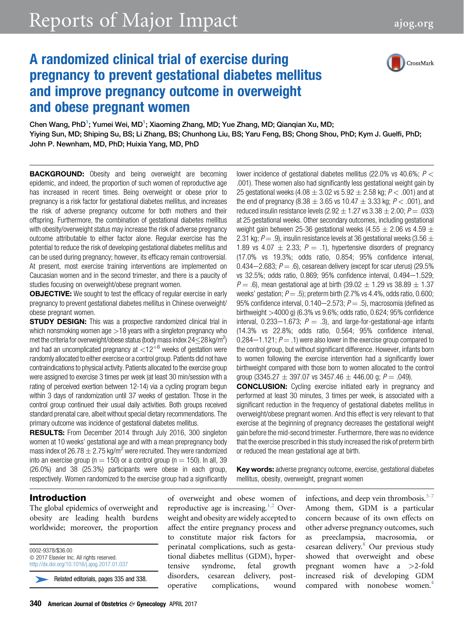# A randomized clinical trial of exercise during pregnancy to prevent gestational diabetes mellitus and improve pregnancy outcome in overweight and obese pregnant women



Chen Wang, PhD ; Yumei Wei, MD ; Xiaoming Zhang, MD; Yue Zhang, MD; Qianqian Xu, MD;<br>Yiying Sun, MD; Shiping Su, BS; Li Zhang, BS; Chunhong Liu, BS; Yaru Feng, BS; Chong Shou, PhD; Kym J. Guelfi, PhD;<br>John B. Nownhom, MD,  $\frac{1}{2}$  and  $\frac{1}{2}$  and  $\frac{1}{2}$   $\frac{1}{2}$   $\frac{1}{2}$   $\frac{1}{2}$   $\frac{1}{2}$   $\frac{1}{2}$   $\frac{1}{2}$   $\frac{1}{2}$   $\frac{1}{2}$   $\frac{1}{2}$   $\frac{1}{2}$   $\frac{1}{2}$   $\frac{1}{2}$   $\frac{1}{2}$   $\frac{1}{2}$   $\frac{1}{2}$   $\frac{1}{2}$   $\frac{1}{2}$   $\frac{1}{2}$   $\frac$ 

**BACKGROUND:** Obesity and being overweight are becoming epidemic, and indeed, the proportion of such women of reproductive age has increased in recent times. Being overweight or obese prior to pregnancy is a risk factor for gestational diabetes mellitus, and increases the risk of adverse pregnancy outcome for both mothers and their offspring. Furthermore, the combination of gestational diabetes mellitus with obesity/overweight status may increase the risk of adverse pregnancy outcome attributable to either factor alone. Regular exercise has the potential to reduce the risk of developing gestational diabetes mellitus and can be used during pregnancy; however, its efficacy remain controversial. At present, most exercise training interventions are implemented on Caucasian women and in the second trimester, and there is a paucity of studies focusing on overweight/obese pregnant women.

**OBJECTIVE:** We sought to test the efficacy of regular exercise in early pregnancy to prevent gestational diabetes mellitus in Chinese overweight/ obese pregnant women.

**STUDY DESIGN:** This was a prospective randomized clinical trial in which nonsmoking women age  $>18$  years with a singleton pregnancy who met the criteria for overweight/obese status (body mass index  $24{\leq}28$  kg/m<sup>2</sup>) and had an uncomplicated pregnancy at  $\langle 12^{+6}$  weeks of gestation were randomly allocated to either exercise or a control group. Patients did not have contraindications to physical activity. Patients allocated to the exercise group were assigned to exercise 3 times per week (at least 30 min/session with a rating of perceived exertion between 12-14) via a cycling program begun within 3 days of randomization until 37 weeks of gestation. Those in the control group continued their usual daily activities. Both groups received standard prenatal care, albeit without special dietary recommendations. The primary outcome was incidence of gestational diabetes mellitus.

**RESULTS:** From December 2014 through July 2016, 300 singleton women at 10 weeks' gestational age and with a mean prepregnancy body mass index of 26.78  $\pm$  2.75 kg/m<sup>2</sup> were recruited. They were randomized into an exercise group ( $n = 150$ ) or a control group ( $n = 150$ ). In all, 39 (26.0%) and 38 (25.3%) participants were obese in each group, respectively. Women randomized to the exercise group had a significantly lower incidence of gestational diabetes mellitus (22.0% vs 40.6%;  $P <$ .001). These women also had significantly less gestational weight gain by 25 gestational weeks (4.08  $\pm$  3.02 vs 5.92  $\pm$  2.58 kg; P < .001) and at the end of pregnancy (8.38  $\pm$  3.65 vs 10.47  $\pm$  3.33 kg; P < .001), and reduced insulin resistance levels (2.92  $\pm$  1.27 vs 3.38  $\pm$  2.00; P = .033) at 25 gestational weeks. Other secondary outcomes, including gestational weight gain between 25-36 gestational weeks (4.55  $\pm$  2.06 vs 4.59  $\pm$ 2.31 kg; P  $=$  .9), insulin resistance levels at 36 gestational weeks (3.56  $\pm$ 1.89 vs 4.07  $\pm$  2.33; P = .1), hypertensive disorders of pregnancy (17.0% vs 19.3%; odds ratio, 0.854; 95% confidence interval, 0.434–2.683;  $P = .6$ ), cesarean delivery (except for scar uterus) (29.5% vs 32.5%; odds ratio, 0.869; 95% confidence interval, 0.494-1.529;  $P = .6$ ), mean gestational age at birth (39.02  $\pm$  1.29 vs 38.89  $\pm$  1.37 weeks' gestation;  $P = .5$ ); preterm birth (2.7% vs 4.4%, odds ratio, 0.600; 95% confidence interval,  $0.140-2.573$ ;  $P = .5$ ), macrosomia (defined as birthweight >4000 g) (6.3% vs 9.6%; odds ratio, 0.624; 95% confidence interval, 0.233-1.673;  $P = .3$ , and large-for-gestational-age infants (14.3% vs 22.8%; odds ratio, 0.564; 95% confidence interval, 0.284 $-1.121$ ;  $P = .1$ ) were also lower in the exercise group compared to the control group, but without significant difference. However, infants born to women following the exercise intervention had a significantly lower birthweight compared with those born to women allocated to the control group (3345.27  $\pm$  397.07 vs 3457.46  $\pm$  446.00 g; P = .049).

**CONCLUSION:** Cycling exercise initiated early in pregnancy and performed at least 30 minutes, 3 times per week, is associated with a significant reduction in the frequency of gestational diabetes mellitus in overweight/obese pregnant women. And this effect is very relevant to that exercise at the beginning of pregnancy decreases the gestational weight gain before the mid-second trimester. Furthermore, there was no evidence that the exercise prescribed in this study increased the risk of preterm birth or reduced the mean gestational age at birth.

**Key words:** adverse pregnancy outcome, exercise, gestational diabetes mellitus, obesity, overweight, pregnant women

#### Introduction

The global epidemics of overweight and obesity are leading health burdens worldwide; moreover, the proportion

0002-9378/\$36.00  $© 2017 Elsevier Inc. All rights reserved.$ <http://dx.doi.org/10.1016/j.ajog.2017.01.037>

Related editorials, pages 335 and 338.

of overweight and obese women of reproductive age is increasing.<sup>[1,2](#page-9-0)</sup> Overweight and obesity are widely accepted to affect the entire pregnancy process and to constitute major risk factors for perinatal complications, such as gestational diabetes mellitus (GDM), hypertensive syndrome, fetal growth disorders, cesarean delivery, postoperative complications, wound infections, and deep vein thrombosis.<sup>[3-7](#page-9-0)</sup> Among them, GDM is a particular concern because of its own effects on other adverse pregnancy outcomes, such as preeclampsia, macrosomia, or cesarean delivery.<sup>[8](#page-9-0)</sup> Our previous study showed that overweight and obese pregnant women have a >2-fold increased risk of developing GDM compared with nonobese women.<sup>4</sup>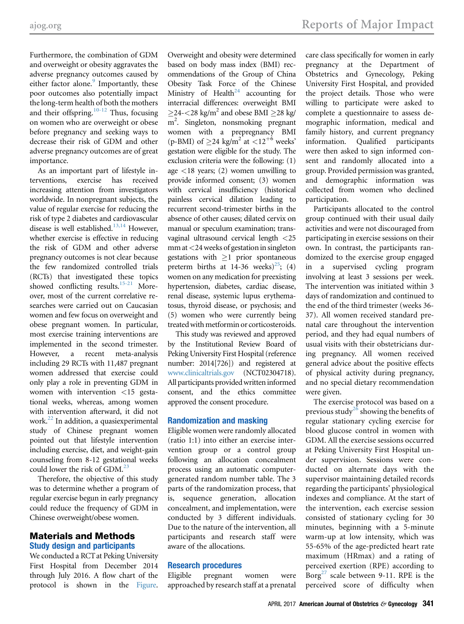Furthermore, the combination of GDM and overweight or obesity aggravates the adverse pregnancy outcomes caused by either factor alone.<sup>[9](#page-9-0)</sup> Importantly, these poor outcomes also potentially impact the long-term health of both the mothers and their offspring.[10-12](#page-9-0) Thus, focusing on women who are overweight or obese before pregnancy and seeking ways to decrease their risk of GDM and other adverse pregnancy outcomes are of great importance.

As an important part of lifestyle interventions, exercise has received increasing attention from investigators worldwide. In nonpregnant subjects, the value of regular exercise for reducing the risk of type 2 diabetes and cardiovascular disease is well established.<sup>13,14</sup> However, whether exercise is effective in reducing the risk of GDM and other adverse pregnancy outcomes is not clear because the few randomized controlled trials (RCTs) that investigated these topics showed conflicting results.<sup>15-21</sup> Moreover, most of the current correlative researches were carried out on Caucasian women and few focus on overweight and obese pregnant women. In particular, most exercise training interventions are implemented in the second trimester. However, a recent meta-analysis including 29 RCTs with 11,487 pregnant women addressed that exercise could only play a role in preventing GDM in women with intervention <15 gestational weeks, whereas, among women with intervention afterward, it did not work. $^{22}$  In addition, a quasiexperimental study of Chinese pregnant women pointed out that lifestyle intervention including exercise, diet, and weight-gain counseling from 8-12 gestational weeks could lower the risk of GDM.<sup>23</sup>

Therefore, the objective of this study was to determine whether a program of regular exercise begun in early pregnancy could reduce the frequency of GDM in Chinese overweight/obese women.

#### Materials and Methods Study design and participants

We conducted a RCT at Peking University First Hospital from December 2014 through July 2016. A flow chart of the protocol is shown in the [Figure.](#page-2-0) Overweight and obesity were determined based on body mass index (BMI) recommendations of the Group of China Obesity Task Force of the Chinese Ministry of Health<sup>24</sup> accounting for interracial differences: overweight BMI  $\geq$ 24- $\lt$ 28 kg/m<sup>2</sup> and obese BMI  $\geq$ 28 kg/ m2 . Singleton, nonsmoking pregnant women with a prepregnancy BMI (p-BMI) of  $>$ 24 kg/m<sup>2</sup> at  $<$ 12<sup>+6</sup> weeks' gestation were eligible for the study. The exclusion criteria were the following: (1) age  $\langle 18 \text{ years}; (2) \text{ women unwilling to}$ provide informed consent; (3) women with cervical insufficiency (historical painless cervical dilation leading to recurrent second-trimester births in the absence of other causes; dilated cervix on manual or speculum examination; transvaginal ultrasound cervical length <25 mm at<24 weeks of gestation in singleton gestations with  $\geq 1$  prior spontaneous preterm births at 14-36 weeks)<sup>25</sup>; (4) women on any medication for preexisting hypertension, diabetes, cardiac disease, renal disease, systemic lupus erythematosus, thyroid disease, or psychosis; and (5) women who were currently being treatedwith metformin or corticosteroids.

This study was reviewed and approved by the Institutional Review Board of Peking University First Hospital (reference number: 2014[726]) and registered at [www.clinicaltrials.gov](http://www.clinicaltrials.gov) (NCT02304718). All participants provided written informed consent, and the ethics committee approved the consent procedure.

#### Randomization and masking

Eligible women were randomly allocated (ratio 1:1) into either an exercise intervention group or a control group following an allocation concealment process using an automatic computergenerated random number table. The 3 parts of the randomization process, that is, sequence generation, allocation concealment, and implementation, were conducted by 3 different individuals. Due to the nature of the intervention, all participants and research staff were aware of the allocations.

#### Research procedures

Eligible pregnant women were approached by research staff at a prenatal care class specifically for women in early pregnancy at the Department of Obstetrics and Gynecology, Peking University First Hospital, and provided the project details. Those who were willing to participate were asked to complete a questionnaire to assess demographic information, medical and family history, and current pregnancy information. Qualified participants were then asked to sign informed consent and randomly allocated into a group. Provided permission was granted, and demographic information was collected from women who declined participation.

Participants allocated to the control group continued with their usual daily activities and were not discouraged from participating in exercise sessions on their own. In contrast, the participants randomized to the exercise group engaged in a supervised cycling program involving at least 3 sessions per week. The intervention was initiated within 3 days of randomization and continued to the end of the third trimester (weeks 36- 37). All women received standard prenatal care throughout the intervention period, and they had equal numbers of usual visits with their obstetricians during pregnancy. All women received general advice about the positive effects of physical activity during pregnancy, and no special dietary recommendation were given.

The exercise protocol was based on a previous study<sup>[26](#page-10-0)</sup> showing the benefits of regular stationary cycling exercise for blood glucose control in women with GDM. All the exercise sessions occurred at Peking University First Hospital under supervision. Sessions were conducted on alternate days with the supervisor maintaining detailed records regarding the participants' physiological indexes and compliance. At the start of the intervention, each exercise session consisted of stationary cycling for 30 minutes, beginning with a 5-minute warm-up at low intensity, which was 55-65% of the age-predicted heart rate maximum (HRmax) and a rating of perceived exertion (RPE) according to Borg<sup>[27](#page-10-0)</sup> scale between 9-11. RPE is the perceived score of difficulty when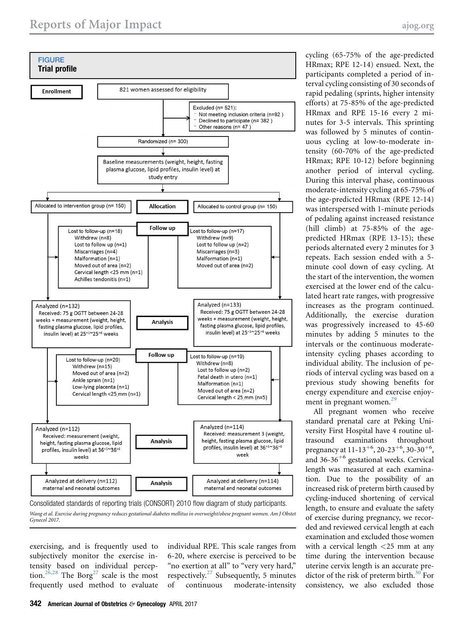<span id="page-2-0"></span>

Wang et al. Exercise during pregnancy reduces gestational diabetes mellitus in overweight/obese pregnant women. Am J Obstet Gynecol 2017.

exercising, and is frequently used to subjectively monitor the exercise intensity based on individual percep-tion.<sup>[26,28](#page-10-0)</sup> The Borg<sup>[27](#page-10-0)</sup> scale is the most frequently used method to evaluate

individual RPE. This scale ranges from 6-20, where exercise is perceived to be "no exertion at all" to "very very hard," respectively. $2^7$  Subsequently, 5 minutes of continuous moderate-intensity

cycling (65-75% of the age-predicted HRmax; RPE 12-14) ensued. Next, the participants completed a period of interval cycling consisting of 30 seconds of rapid pedaling (sprints, higher intensity efforts) at 75-85% of the age-predicted HRmax and RPE 15-16 every 2 minutes for 3-5 intervals. This sprinting was followed by 5 minutes of continuous cycling at low-to-moderate intensity (60-70% of the age-predicted HRmax; RPE 10-12) before beginning another period of interval cycling. During this interval phase, continuous moderate-intensity cycling at 65-75% of the age-predicted HRmax (RPE 12-14) was interspersed with 1-minute periods of pedaling against increased resistance (hill climb) at 75-85% of the agepredicted HRmax (RPE 13-15); these periods alternated every 2 minutes for 3 repeats. Each session ended with a 5 minute cool down of easy cycling. At the start of the intervention, the women exercised at the lower end of the calculated heart rate ranges, with progressive increases as the program continued. Additionally, the exercise duration was progressively increased to 45-60 minutes by adding 5 minutes to the intervals or the continuous moderateintensity cycling phases according to individual ability. The inclusion of periods of interval cycling was based on a previous study showing benefits for energy expenditure and exercise enjoy-ment in pregnant women.<sup>[29](#page-10-0)</sup>

All pregnant women who receive standard prenatal care at Peking University First Hospital have 4 routine ultrasound examinations throughout pregnancy at  $11-13^{+6}$ , 20-23<sup>+6</sup>, 30-30<sup>+6</sup>, and 36-36<sup>+6</sup> gestational weeks. Cervical length was measured at each examination. Due to the possibility of an increased risk of preterm birth caused by cycling-induced shortening of cervical length, to ensure and evaluate the safety of exercise during pregnancy, we recorded and reviewed cervical length at each examination and excluded those women with a cervical length <25 mm at any time during the intervention because uterine cervix length is an accurate predictor of the risk of preterm birth. $30$  For consistency, we also excluded those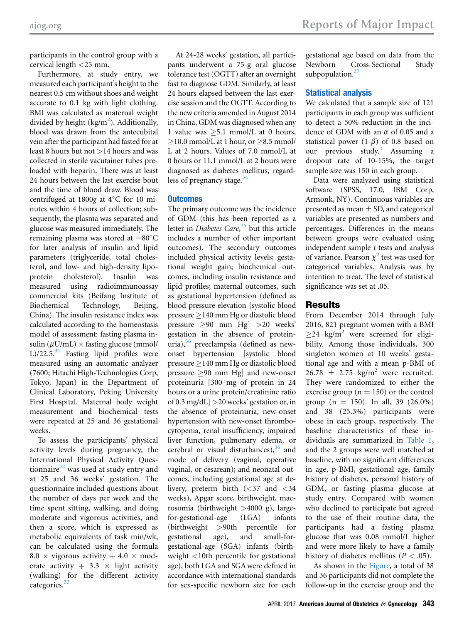participants in the control group with a cervical length <25 mm.

Furthermore, at study entry, we measured each participant's height to the nearest 0.5 cm without shoes and weight accurate to 0.1 kg with light clothing. BMI was calculated as maternal weight divided by height (kg/m<sup>2</sup>). Additionally, blood was drawn from the antecubital vein after the participant had fasted for at least 8 hours but not >14 hours and was collected in sterile vacutainer tubes preloaded with heparin. There was at least 24 hours between the last exercise bout and the time of blood draw. Blood was centrifuged at  $1800g$  at  $4^{\circ}$ C for 10 minutes within 4 hours of collection; subsequently, the plasma was separated and glucose was measured immediately. The remaining plasma was stored at  $-80^{\circ}$ C for later analysis of insulin and lipid parameters (triglyceride, total cholesterol, and low- and high-density lipoprotein cholesterol). Insulin was measured using radioimmunoassay commercial kits (Beifang Institute of Biochemical Technology, Beijing, China). The insulin resistance index was calculated according to the homeostasis model of assessment: fasting plasma insulin  $(\mu U/mL) \times$  fasting glucose (mmol/  $L$ //22.5. $31$  Fasting lipid profiles were measured using an automatic analyzer (7600; Hitachi High-Technologies Corp, Tokyo, Japan) in the Department of Clinical Laboratory, Peking University First Hospital. Maternal body weight measurement and biochemical tests were repeated at 25 and 36 gestational weeks.

To assess the participants' physical activity levels during pregnancy, the International Physical Activity Questionnaire $32$  was used at study entry and at 25 and 36 weeks' gestation. The questionnaire included questions about the number of days per week and the time spent sitting, walking, and doing moderate and vigorous activities, and then a score, which is expressed as metabolic equivalents of task min/wk, can be calculated using the formula 8.0  $\times$  vigorous activity + 4.0  $\times$  moderate activity  $+ 3.3 \times$  light activity (walking) for the different activity categories.<sup>[33](#page-10-0)</sup>

At 24-28 weeks' gestation, all participants underwent a 75-g oral glucose tolerance test (OGTT) after an overnight fast to diagnose GDM. Similarly, at least 24 hours elapsed between the last exercise session and the OGTT. According to the new criteria amended in August 2014 in China, GDM was diagnosed when any 1 value was  $\geq 5.1$  mmol/L at 0 hours,  $>$ 10.0 mmol/L at 1 hour, or  $>$ 8.5 mmol/ L at 2 hours. Values of 7.0 mmol/L at 0 hours or 11.1 mmol/L at 2 hours were diagnosed as diabetes mellitus, regardless of pregnancy stage. $34$ 

#### **Outcomes**

The primary outcome was the incidence of GDM (this has been reported as a letter in *Diabetes Care*,<sup>[35](#page-10-0)</sup> but this article includes a number of other important outcomes). The secondary outcomes included physical activity levels; gestational weight gain; biochemical outcomes, including insulin resistance and lipid profiles; maternal outcomes, such as gestational hypertension (defined as blood pressure elevation [systolic blood pressure  $\geq$  140 mm Hg or diastolic blood pressure  $\geq 90$  mm Hg]  $>20$  weeks' gestation in the absence of proteinuria),<sup>36</sup> preeclampsia (defined as newonset hypertension [systolic blood pressure  $\geq$  140 mm Hg or diastolic blood pressure  $\geq 90$  mm Hg] and new-onset proteinuria [300 mg of protein in 24 hours or a urine protein/creatinine ratio of 0.3 mg/dL] >20 weeks' gestation or, in the absence of proteinuria, new-onset hypertension with new-onset thrombocytopenia, renal insufficiency, impaired liver function, pulmonary edema, or cerebral or visual disturbances), $36$  and mode of delivery (vaginal, operative vaginal, or cesarean); and neonatal outcomes, including gestational age at delivery, preterm birth  $\approx$  127 and  $\approx$  34 weeks), Apgar score, birthweight, macrosomia (birthweight >4000 g), largefor-gestational-age (LGA) infants (birthweight >90th percentile for gestational age), and small-forgestational-age (SGA) infants (birthweight <10th percentile for gestational age), both LGA and SGA were defined in accordance with international standards for sex-specific newborn size for each

gestational age based on data from the Newborn Cross-Sectional Study subpopulation.<sup>[37](#page-10-0)</sup>

## Statistical analysis

We calculated that a sample size of 121 participants in each group was sufficient to detect a 50% reduction in the incidence of GDM with an  $\alpha$  of 0.05 and a statistical power  $(1-\beta)$  of 0.8 based on our previous study.<sup>[4](#page-9-0)</sup> Assuming a dropout rate of 10-15%, the target sample size was 150 in each group.

Data were analyzed using statistical software (SPSS, 17.0, IBM Corp, Armonk, NY). Continuous variables are presented as mean  $\pm$  SD, and categorical variables are presented as numbers and percentages. Differences in the means between groups were evaluated using independent sample  $t$  tests and analysis of variance. Pearson  $\chi^2$  test was used for categorical variables. Analysis was by intention to treat. The level of statistical significance was set at .05.

# Results

From December 2014 through July 2016, 821 pregnant women with a BMI  $\geq$ 24 kg/m<sup>2</sup> were screened for eligibility. Among those individuals, 300 singleton women at 10 weeks' gestational age and with a mean p-BMI of  $26.78 \pm 2.75$  kg/m<sup>2</sup> were recruited. They were randomized to either the exercise group ( $n = 150$ ) or the control group (n = 150). In all, 39  $(26.0\%)$ and 38 (25.3%) participants were obese in each group, respectively. The baseline characteristics of these individuals are summarized in [Table 1,](#page-4-0) and the 2 groups were well matched at baseline, with no significant differences in age, p-BMI, gestational age, family history of diabetes, personal history of GDM, or fasting plasma glucose at study entry. Compared with women who declined to participate but agreed to the use of their routine data, the participants had a fasting plasma glucose that was 0.08 mmol/L higher and were more likely to have a family history of diabetes mellitus ( $P < .05$ ).

As shown in the [Figure,](#page-2-0) a total of 38 and 36 participants did not complete the follow-up in the exercise group and the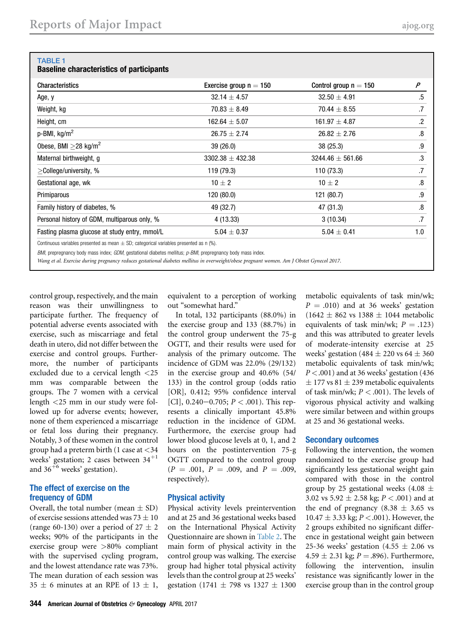<span id="page-4-0"></span>

| <b>Characteristics</b>                        | Exercise group $n = 150$ | Control group $n = 150$ | $\overline{P}$ |
|-----------------------------------------------|--------------------------|-------------------------|----------------|
| Age, y                                        | $32.14 \pm 4.57$         | $32.50 \pm 4.91$        | $.5\,$         |
| Weight, kg                                    | $70.83 \pm 8.49$         | $70.44 \pm 8.55$        | .7             |
| Height, cm                                    | $162.64 \pm 5.07$        | $161.97 \pm 4.87$       | $\cdot$        |
| p-BMI, kg/m <sup>2</sup>                      | $26.75 \pm 2.74$         | $26.82 \pm 2.76$        | .8             |
| Obese, BMI $\geq$ 28 kg/m <sup>2</sup>        | 39(26.0)                 | 38(25.3)                | .9             |
| Maternal birthweight, g                       | $3302.38 \pm 432.38$     | $3244.46 \pm 561.66$    | $\cdot$ 3      |
| $\geq$ College/university, %                  | 119 (79.3)               | 110 (73.3)              | .7             |
| Gestational age, wk                           | $10 \pm 2$               | $10 \pm 2$              | .8             |
| Primiparous                                   | 120 (80.0)               | 121 (80.7)              | .9             |
| Family history of diabetes, %                 | 49 (32.7)                | 47 (31.3)               | .8             |
| Personal history of GDM, multiparous only, %  | 4 (13.33)                | 3(10.34)                | .7             |
| Fasting plasma glucose at study entry, mmol/L | $5.04 \pm 0.37$          | $5.04 \pm 0.41$         | 1.0            |

Wang et al. Exercise during pregnancy reduces gestational diabetes mellitus in overweight/obese pregnant women. Am J Obstet Gynecol 2017.

control group, respectively, and the main reason was their unwillingness to participate further. The frequency of potential adverse events associated with exercise, such as miscarriage and fetal death in utero, did not differ between the exercise and control groups. Furthermore, the number of participants excluded due to a cervical length <25 mm was comparable between the groups. The 7 women with a cervical length <25 mm in our study were followed up for adverse events; however, none of them experienced a miscarriage or fetal loss during their pregnancy. Notably, 3 of these women in the control group had a preterm birth (1 case at <34 weeks' gestation; 2 cases between  $34^{+1}$ and  $36^{+6}$  weeks' gestation).

#### The effect of exercise on the frequency of GDM

Overall, the total number (mean  $\pm$  SD) of exercise sessions attended was  $73 \pm 10$ (range 60-130) over a period of  $27 \pm 2$ weeks; 90% of the participants in the exercise group were >80% compliant with the supervised cycling program, and the lowest attendance rate was 73%. The mean duration of each session was  $35 \pm 6$  minutes at an RPE of  $13 \pm 1$ , equivalent to a perception of working out "somewhat hard."

In total, 132 participants (88.0%) in the exercise group and 133 (88.7%) in the control group underwent the 75-g OGTT, and their results were used for analysis of the primary outcome. The incidence of GDM was 22.0% (29/132) in the exercise group and 40.6% (54/ 133) in the control group (odds ratio [OR], 0.412; 95% confidence interval [CI], 0.240–0.705;  $P < .001$ ). This represents a clinically important 45.8% reduction in the incidence of GDM. Furthermore, the exercise group had lower blood glucose levels at 0, 1, and 2 hours on the postintervention 75-g OGTT compared to the control group  $(P = .001, P = .009, \text{ and } P = .009,$ respectively).

### Physical activity

Physical activity levels preintervention and at 25 and 36 gestational weeks based on the International Physical Activity Questionnaire are shown in [Table 2.](#page-5-0) The main form of physical activity in the control group was walking. The exercise group had higher total physical activity levels than the control group at 25 weeks' gestation (1741  $\pm$  798 vs 1327  $\pm$  1300 metabolic equivalents of task min/wk;  $P = .010$  and at 36 weeks' gestation  $(1642 \pm 862 \text{ vs } 1388 \pm 1044 \text{ metabolic})$ equivalents of task min/wk;  $P = .123$ ) and this was attributed to greater levels of moderate-intensity exercise at 25 weeks' gestation (484  $\pm$  220 vs 64  $\pm$  360 metabolic equivalents of task min/wk;  $P < .001$ ) and at 36 weeks' gestation (436)  $\pm$  177 vs 81  $\pm$  239 metabolic equivalents of task min/wk;  $P < .001$ ). The levels of vigorous physical activity and walking were similar between and within groups at 25 and 36 gestational weeks.

#### Secondary outcomes

Following the intervention, the women randomized to the exercise group had significantly less gestational weight gain compared with those in the control group by 25 gestational weeks (4.08  $\pm$ 3.02 vs 5.92  $\pm$  2.58 kg; *P* < .001) and at the end of pregnancy (8.38  $\pm$  3.65 vs  $10.47 \pm 3.33$  kg;  $P < .001$ ). However, the 2 groups exhibited no significant difference in gestational weight gain between 25-36 weeks' gestation  $(4.55 \pm 2.06 \text{ vs }$ 4.59  $\pm$  2.31 kg; *P* = .896). Furthermore, following the intervention, insulin resistance was significantly lower in the exercise group than in the control group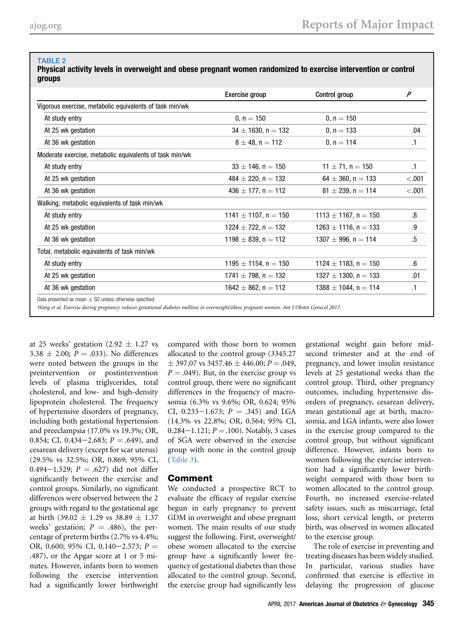#### <span id="page-5-0"></span>**TABLE 2**

Physical activity levels in overweight and obese pregnant women randomized to exercise intervention or control groups

|                                                             | Exercise group            | Control group             | P         |
|-------------------------------------------------------------|---------------------------|---------------------------|-----------|
| Vigorous exercise, metabolic equivalents of task min/wk     |                           |                           |           |
| At study entry                                              | $0, n = 150$              | $0, n = 150$              |           |
| At 25 wk gestation                                          | $34 \pm 1630$ , n = 132   | $0, n = 133$              | .04       |
| At 36 wk gestation                                          | $8 \pm 48$ , n = 112      | $0, n = 114$              | $\cdot$ 1 |
| Moderate exercise, metabolic equivalents of task min/wk     |                           |                           |           |
| At study entry                                              | $33 \pm 146$ , n = 150    | $11 \pm 71$ , n = 150     | $\cdot$ 1 |
| At 25 wk gestation                                          | $484 \pm 220$ , n = 132   | $64 \pm 360$ , n = 133    | $-.001$   |
| At 36 wk gestation                                          | $436 \pm 177$ , n = 112   | $81 \pm 239$ , n = 114    | < .001    |
| Walking, metabolic equivalents of task min/wk               |                           |                           |           |
| At study entry                                              | $1141 \pm 1107$ , n = 150 | $1113 \pm 1167$ , n = 150 | .8        |
| At 25 wk gestation                                          | $1224 \pm 722$ , n = 132  | $1263 \pm 1116$ , n = 133 | .9        |
| At 36 wk gestation                                          | $1198 \pm 839$ , n = 112  | $1307 \pm 996$ , n = 114  | $.5\,$    |
| Total, metabolic equivalents of task min/wk                 |                           |                           |           |
| At study entry                                              | $1195 \pm 1154$ , n = 150 | $1124 \pm 1183$ , n = 150 | .6        |
| At 25 wk gestation                                          | $1741 \pm 798$ , n = 132  | $1327 \pm 1300$ , n = 133 | .01       |
| At 36 wk gestation                                          | $1642 \pm 862$ , n = 112  | $1388 \pm 1044$ , n = 114 | .1        |
| Data presented as mean $\pm$ SD unless otherwise specified. |                           |                           |           |

Data presented as mean ± SD unless otherwise specified.<br>Wang et al. Exercise during pregnancy reduces gestational diabetes mellitus in overweight/obese pregnant women. Am J Obstet Gynecol 2017.

at 25 weeks' gestation  $(2.92 \pm 1.27 \text{ vs }$ 3.38  $\pm$  2.00; P = .033). No differences were noted between the groups in the preintervention or postintervention levels of plasma triglycerides, total cholesterol, and low- and high-density lipoprotein cholesterol. The frequency of hypertensive disorders of pregnancy, including both gestational hypertension and preeclampsia (17.0% vs 19.3%; OR, 0.854; CI, 0.434–2.683;  $P = .649$ ), and cesarean delivery (except for scar uterus) (29.5% vs 32.5%; OR, 0.869; 95% CI, 0.494 $-1.529$ ;  $P = .627$ ) did not differ significantly between the exercise and control groups. Similarly, no significant differences were observed between the 2 groups with regard to the gestational age at birth (39.02  $\pm$  1.29 vs 38.89  $\pm$  1.37 weeks' gestation;  $P = .486$ ), the percentage of preterm births (2.7% vs 4.4%; OR, 0.600; 95% CI, 0.140-2.573;  $P =$ .487), or the Apgar score at 1 or 5 minutes. However, infants born to women following the exercise intervention had a significantly lower birthweight

compared with those born to women allocated to the control group (3345.27  $\pm$  397.07 vs 3457.46  $\pm$  446.00; P = 049,  $P = .049$ ). But, in the exercise group vs control group, there were no significant differences in the frequency of macrosomia (6.3% vs 9.6%; OR, 0.624; 95% CI, 0.233–1.673;  $P = .345$ ) and LGA (14.3% vs 22.8%; OR, 0.564; 95% CI, 0.284 $-1.121$ ;  $P = .100$ ). Notably, 3 cases of SGA were observed in the exercise group with none in the control group ([Table 3\)](#page-6-0).

### Comment

We conducted a prospective RCT to evaluate the efficacy of regular exercise begun in early pregnancy to prevent GDM in overweight and obese pregnant women. The main results of our study suggest the following. First, overweight/ obese women allocated to the exercise group have a significantly lower frequency of gestational diabetes than those allocated to the control group. Second, the exercise group had significantly less gestational weight gain before midsecond trimester and at the end of pregnancy, and lower insulin resistance levels at 25 gestational weeks than the control group. Third, other pregnancy outcomes, including hypertensive disorders of pregnancy, cesarean delivery, mean gestational age at birth, macrosomia, and LGA infants, were also lower in the exercise group compared to the control group, but without significant difference. However, infants born to women following the exercise intervention had a significantly lower birthweight compared with those born to women allocated to the control group. Fourth, no increased exercise-related safety issues, such as miscarriage, fetal loss, short cervical length, or preterm birth, was observed in women allocated to the exercise group.

The role of exercise in preventing and treating diseases has been widely studied. In particular, various studies have confirmed that exercise is effective in delaying the progression of glucose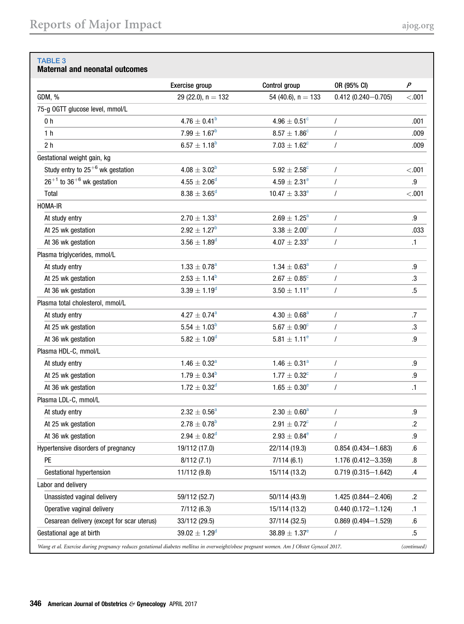# <span id="page-6-0"></span>Maternal and neonatal outcomes

|                                                                                                                                           | Exercise group             | Control group             | OR (95% CI)            | $\overline{P}$    |
|-------------------------------------------------------------------------------------------------------------------------------------------|----------------------------|---------------------------|------------------------|-------------------|
| GDM, %                                                                                                                                    | 29 (22.0), $n = 132$       | 54 (40.6), $n = 133$      | $0.412(0.240 - 0.705)$ | < .001            |
| 75-g OGTT glucose level, mmol/L                                                                                                           |                            |                           |                        |                   |
| 0 h                                                                                                                                       | $4.76\pm0.41^{\rm b}$      | $4.96 \pm 0.51^c$         | T                      | .001              |
| 1 <sub>h</sub>                                                                                                                            | $7.99 \pm 1.67^{\rm b}$    | $8.57 \pm 1.86^c$         | $\prime$               | .009              |
| 2 <sub>h</sub>                                                                                                                            | $6.57 \pm 1.18^b$          | $7.03 \pm 1.62^c$         | $\prime$               | .009              |
| Gestational weight gain, kg                                                                                                               |                            |                           |                        |                   |
| Study entry to $25^{+6}$ wk gestation                                                                                                     | $4.08 \pm 3.02^b$          | $5.92 \pm 2.58^c$         |                        | < .001            |
| $26^{+1}$ to $36^{+6}$ wk gestation                                                                                                       | $4.55\pm2.06^{\text{d}}$   | $4.59 \pm 2.31^e$         | $\prime$               | $.9\,$            |
| Total                                                                                                                                     | $8.38 \pm 3.65^d$          | $10.47 \pm 3.33^e$        | $\prime$               | < .001            |
| <b>HOMA-IR</b>                                                                                                                            |                            |                           |                        |                   |
| At study entry                                                                                                                            | $2.70\pm1.33^{\rm a}$      | $2.69 \pm 1.25^a$         | 1                      | .9                |
| At 25 wk gestation                                                                                                                        | $2.92\pm1.27^{\textrm{b}}$ | $3.38\,\pm\,2.00^{\circ}$ | $\overline{1}$         | .033              |
| At 36 wk gestation                                                                                                                        | $3.56 \pm 1.89^d$          | $4.07 \pm 2.33^e$         |                        | $\cdot$ 1         |
| Plasma triglycerides, mmol/L                                                                                                              |                            |                           |                        |                   |
| At study entry                                                                                                                            | $1.33\pm0.78^{\rm a}$      | $1.34 \pm 0.63^a$         |                        | .9                |
| At 25 wk gestation                                                                                                                        | $2.53 \pm 1.14^b$          | $2.67\,\pm\,0.85^{\rm c}$ | $\overline{1}$         | $\cdot$           |
| At 36 wk gestation                                                                                                                        | $3.39 \pm 1.19^d$          | $3.50 \pm 1.11^e$         |                        | $.5\,$            |
| Plasma total cholesterol, mmol/L                                                                                                          |                            |                           |                        |                   |
| At study entry                                                                                                                            | $4.27 \pm 0.74^a$          | $4.30 \pm 0.68^{\rm a}$   | 1                      | $.7\,$            |
| At 25 wk gestation                                                                                                                        | $5.54 \pm 1.03^b$          | $5.67 \pm 0.90^c$         | $\prime$               | $.3\,$            |
| At 36 wk gestation                                                                                                                        | $5.82 \pm 1.09^{\rm d}$    | $5.81 \pm 1.11^e$         |                        | $.9\,$            |
| Plasma HDL-C, mmol/L                                                                                                                      |                            |                           |                        |                   |
| At study entry                                                                                                                            | $1.46 \pm 0.32^a$          | $1.46 \pm 0.31^a$         | 1                      | $.9\,$            |
| At 25 wk gestation                                                                                                                        | $1.79 \pm 0.34^b$          | $1.77 \pm 0.32^c$         | $\prime$               | .9                |
| At 36 wk gestation                                                                                                                        | $1.72 \pm 0.32^d$          | $1.65 \pm 0.30^e$         | 7                      | $\cdot$ 1         |
| Plasma LDL-C, mmol/L                                                                                                                      |                            |                           |                        |                   |
| At study entry                                                                                                                            | $2.32\pm0.56^{\rm a}$      | $2.30 \pm 0.60^a$         | $\prime$               | $.9\,$            |
| At 25 wk gestation                                                                                                                        | $2.78 \pm 0.78^b$          | $2.91 \pm 0.72^c$         | $\prime$               | $\cdot$           |
| At 36 wk gestation                                                                                                                        | $2.94 \pm 0.82^d$          | $2.93 \pm 0.84^e$         |                        | .9                |
| Hypertensive disorders of pregnancy                                                                                                       | 19/112 (17.0)              | 22/114 (19.3)             | $0.854(0.434 - 1.683)$ | $.6\,$            |
| PE                                                                                                                                        | 8/112(7.1)                 | 7/114(6.1)                | $1.176(0.412 - 3.359)$ | $\boldsymbol{.8}$ |
| Gestational hypertension                                                                                                                  | 11/112 (9.8)               | 15/114 (13.2)             | $0.719(0.315 - 1.642)$ | $\cdot$           |
| Labor and delivery                                                                                                                        |                            |                           |                        |                   |
| Unassisted vaginal delivery                                                                                                               | 59/112 (52.7)              | 50/114 (43.9)             | $1.425(0.844 - 2.406)$ | $\cdot$           |
| Operative vaginal delivery                                                                                                                | 7/112(6.3)                 | 15/114 (13.2)             | $0.440(0.172 - 1.124)$ | $\cdot$ 1         |
| Cesarean delivery (except for scar uterus)                                                                                                | 33/112 (29.5)              | 37/114 (32.5)             | $0.869(0.494 - 1.529)$ | .6                |
| Gestational age at birth                                                                                                                  | $39.02 \pm 1.29^d$         | $38.89 \pm 1.37^e$        |                        | $.5\,$            |
| Wang et al. Exercise during pregnancy reduces gestational diabetes mellitus in overweight/obese pregnant women. Am J Obstet Gynecol 2017. |                            |                           |                        | (continued)       |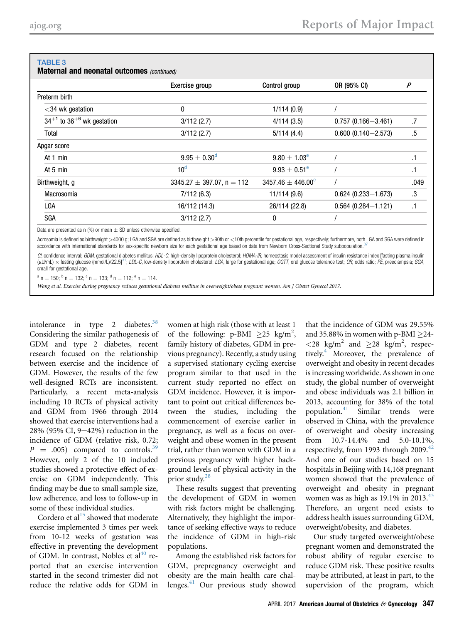and a state

<span id="page-7-0"></span>

| TABLE 3<br><b>Maternal and neonatal outcomes</b> (continued) |                                |                        |                        |           |  |
|--------------------------------------------------------------|--------------------------------|------------------------|------------------------|-----------|--|
|                                                              | Exercise group                 | Control group          | OR (95% CI)            | P         |  |
| Preterm birth                                                |                                |                        |                        |           |  |
| $<$ 34 wk gestation                                          | 0                              | 1/114(0.9)             |                        |           |  |
| $34^{+1}$ to $36^{+6}$ wk gestation                          | 3/112(2.7)                     | 4/114(3.5)             | $0.757(0.166 - 3.461)$ | .7        |  |
| Total                                                        | 3/112(2.7)                     | 5/114(4.4)             | $0.600(0.140 - 2.573)$ | .5        |  |
| Apgar score                                                  |                                |                        |                        |           |  |
| At 1 min                                                     | $9.95 \pm 0.30^{\rm d}$        | $9.80 \pm 1.03^e$      |                        | $\cdot$ 1 |  |
| At 5 min                                                     | 10 <sup>d</sup>                | $9.93 \pm 0.51^e$      |                        | $\cdot$ 1 |  |
| Birthweight, g                                               | $3345.27 \pm 397.07$ , n = 112 | $3457.46 \pm 446.00^e$ |                        | .049      |  |
| Macrosomia                                                   | 7/112(6.3)                     | 11/114 (9.6)           | $0.624(0.233 - 1.673)$ | .3        |  |
| LGA                                                          | 16/112 (14.3)                  | 26/114 (22.8)          | $0.564(0.284 - 1.121)$ | $\cdot$ 1 |  |
| SGA                                                          | 3/112(2.7)                     | 0                      |                        |           |  |

Data are presented as n (%) or mean  $\pm$  SD unless otherwise specified.

Acrosomia is defined as birthweight >4000 g; LGA and SGA are defined as birthweight >90th or <10th percentile for gestational age, respectively; furthermore, both LGA and SGA were defined in accordance with international standards for sex-specific newborn size for each gestational age based on data from Newborn Cross-Sectional Study subpopulation.[37](#page-10-0)

CI, confidence interval; GDM, gestational diabetes mellitus; HDL-C, high-density lipoprotein cholesterol; HOMA-IR, homeostasis model assessment of insulin resistance index [fasting plasma insulin  $(\mu$ U/mL)  $\times$  fasting glucose (mmol/L)/22.5]<sup>31</sup>; LDL-C, low-density lipoprotein cholesterol; LGA, large for gestational age; OGTT, oral glucose tolerance test; OR, odds ratio; PE, preeclampsia; SGA, small for gestational age.

 $a^{a}$  n = 150;  $b^{b}$  n = 132;  $c^{c}$  n = 133;  $d^{d}$  n = 112;  $e^{b}$  n = 114.

Wang et al. Exercise during pregnancy reduces gestational diabetes mellitus in overweight/obese pregnant women. Am J Obstet Gynecol 2017.

intolerance in type 2 diabetes. $38$ Considering the similar pathogenesis of GDM and type 2 diabetes, recent research focused on the relationship between exercise and the incidence of GDM. However, the results of the few well-designed RCTs are inconsistent. Particularly, a recent meta-analysis including 10 RCTs of physical activity and GDM from 1966 through 2014 showed that exercise interventions had a 28% (95% CI, 9-42%) reduction in the incidence of GDM (relative risk, 0.72;  $P = .005$ ) compared to controls.<sup>3</sup> However, only 2 of the 10 included studies showed a protective effect of exercise on GDM independently. This finding may be due to small sample size, low adherence, and loss to follow-up in some of these individual studies.

Cordero et al<sup>[15](#page-10-0)</sup> showed that moderate exercise implemented 3 times per week from 10-12 weeks of gestation was effective in preventing the development of GDM. In contrast, Nobles et al<sup>[40](#page-10-0)</sup> reported that an exercise intervention started in the second trimester did not reduce the relative odds for GDM in

women at high risk (those with at least 1 of the following: p-BMI  $\geq$ 25 kg/m<sup>2</sup>, family history of diabetes, GDM in previous pregnancy). Recently, a study using a supervised stationary cycling exercise program similar to that used in the current study reported no effect on GDM incidence. However, it is important to point out critical differences between the studies, including the commencement of exercise earlier in pregnancy, as well as a focus on overweight and obese women in the present trial, rather than women with GDM in a previous pregnancy with higher background levels of physical activity in the prior study.[28](#page-10-0)

These results suggest that preventing the development of GDM in women with risk factors might be challenging. Alternatively, they highlight the importance of seeking effective ways to reduce the incidence of GDM in high-risk populations.

Among the established risk factors for GDM, prepregnancy overweight and obesity are the main health care challenges. $41$  Our previous study showed

that the incidence of GDM was 29.55% and 35.88% in women with p-BMI  $\geq$ 24- $\langle 28 \text{ kg/m}^2 \text{ and } \geq 28 \text{ kg/m}^2 \text{, respectively.}$ tively[.4](#page-9-0) Moreover, the prevalence of overweight and obesity in recent decades is increasing worldwide. As shown in one study, the global number of overweight and obese individuals was 2.1 billion in 2013, accounting for 38% of the total population.[41](#page-10-0) Similar trends were observed in China, with the prevalence of overweight and obesity increasing from 10.7-14.4% and 5.0-10.1%, respectively, from 1993 through  $2009.^{42}$  $2009.^{42}$  $2009.^{42}$ And one of our studies based on 15 hospitals in Beijing with 14,168 pregnant women showed that the prevalence of overweight and obesity in pregnant women was as high as  $19.1\%$  in  $2013.^{43}$  $2013.^{43}$  $2013.^{43}$ Therefore, an urgent need exists to address health issues surrounding GDM, overweight/obesity, and diabetes.

Our study targeted overweight/obese pregnant women and demonstrated the robust ability of regular exercise to reduce GDM risk. These positive results may be attributed, at least in part, to the supervision of the program, which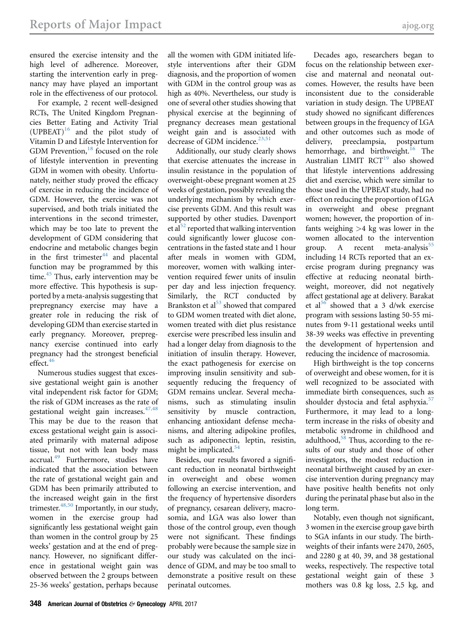ensured the exercise intensity and the high level of adherence. Moreover, starting the intervention early in pregnancy may have played an important role in the effectiveness of our protocol.

For example, 2 recent well-designed RCTs, The United Kingdom Pregnancies Better Eating and Activity Trial  $(UPBEAT)^{16}$  $(UPBEAT)^{16}$  $(UPBEAT)^{16}$  and the pilot study of Vitamin D and Lifestyle Intervention for GDM Prevention,<sup>[18](#page-10-0)</sup> focused on the role of lifestyle intervention in preventing GDM in women with obesity. Unfortunately, neither study proved the efficacy of exercise in reducing the incidence of GDM. However, the exercise was not supervised, and both trials initiated the interventions in the second trimester, which may be too late to prevent the development of GDM considering that endocrine and metabolic changes begin in the first trimester $44$  and placental function may be programmed by this time.<sup>[45](#page-10-0)</sup> Thus, early intervention may be more effective. This hypothesis is supported by a meta-analysis suggesting that prepregnancy exercise may have a greater role in reducing the risk of developing GDM than exercise started in early pregnancy. Moreover, prepregnancy exercise continued into early pregnancy had the strongest beneficial effect. $46$ 

Numerous studies suggest that excessive gestational weight gain is another vital independent risk factor for GDM; the risk of GDM increases as the rate of gestational weight gain increases.  $47,48$ This may be due to the reason that excess gestational weight gain is associated primarily with maternal adipose tissue, but not with lean body mass accrual[.49](#page-10-0) Furthermore, studies have indicated that the association between the rate of gestational weight gain and GDM has been primarily attributed to the increased weight gain in the first trimester.<sup>[48,50](#page-10-0)</sup> Importantly, in our study, women in the exercise group had significantly less gestational weight gain than women in the control group by 25 weeks' gestation and at the end of pregnancy. However, no significant difference in gestational weight gain was observed between the 2 groups between 25-36 weeks' gestation, perhaps because

all the women with GDM initiated lifestyle interventions after their GDM diagnosis, and the proportion of women with GDM in the control group was as high as 40%. Nevertheless, our study is one of several other studies showing that physical exercise at the beginning of pregnancy decreases mean gestational weight gain and is associated with decrease of GDM incidence.<sup>[23,51](#page-10-0)</sup>

Additionally, our study clearly shows that exercise attenuates the increase in insulin resistance in the population of overweight-obese pregnant women at 25 weeks of gestation, possibly revealing the underlying mechanism by which exercise prevents GDM. And this result was supported by other studies. Davenport et al<sup>[52](#page-10-0)</sup> reported that walking intervention could significantly lower glucose concentrations in the fasted state and 1 hour after meals in women with GDM, moreover, women with walking intervention required fewer units of insulin per day and less injection frequency. Similarly, the RCT conducted by Brankston et al<sup>[53](#page-11-0)</sup> showed that compared to GDM women treated with diet alone, women treated with diet plus resistance exercise were prescribed less insulin and had a longer delay from diagnosis to the initiation of insulin therapy. However, the exact pathogenesis for exercise on improving insulin sensitivity and subsequently reducing the frequency of GDM remains unclear. Several mechanisms, such as stimulating insulin sensitivity by muscle contraction, enhancing antioxidant defense mechanisms, and altering adipokine profiles, such as adiponectin, leptin, resistin, might be implicated.<sup>[54](#page-11-0)</sup>

Besides, our results favored a significant reduction in neonatal birthweight in overweight and obese women following an exercise intervention, and the frequency of hypertensive disorders of pregnancy, cesarean delivery, macrosomia, and LGA was also lower than those of the control group, even though were not significant. These findings probably were because the sample size in our study was calculated on the incidence of GDM, and may be too small to demonstrate a positive result on these perinatal outcomes.

Decades ago, researchers began to focus on the relationship between exercise and maternal and neonatal outcomes. However, the results have been inconsistent due to the considerable variation in study design. The UPBEAT study showed no significant differences between groups in the frequency of LGA and other outcomes such as mode of delivery, preeclampsia, postpartum hemorrhage, and birthweight.<sup>[16](#page-10-0)</sup> The Australian LIMIT RCT<sup>[19](#page-10-0)</sup> also showed that lifestyle interventions addressing diet and exercise, which were similar to those used in the UPBEAT study, had no effect on reducing the proportion of LGA in overweight and obese pregnant women; however, the proportion of infants weighing  $>4$  kg was lower in the women allocated to the intervention group. A recent meta-analysis $55$ including 14 RCTs reported that an exercise program during pregnancy was effective at reducing neonatal birthweight, moreover, did not negatively affect gestational age at delivery. Barakat et al<sup>[56](#page-11-0)</sup> showed that a 3 d/wk exercise program with sessions lasting 50-55 minutes from 9-11 gestational weeks until 38-39 weeks was effective in preventing the development of hypertension and reducing the incidence of macrosomia.

High birthweight is the top concerns of overweight and obese women, for it is well recognized to be associated with immediate birth consequences, such as shoulder dystocia and fetal asphyxia.<sup>[57](#page-11-0)</sup> Furthermore, it may lead to a longterm increase in the risks of obesity and metabolic syndrome in childhood and adulthood,<sup>[58](#page-11-0)</sup> Thus, according to the results of our study and those of other investigators, the modest reduction in neonatal birthweight caused by an exercise intervention during pregnancy may have positive health benefits not only during the perinatal phase but also in the long term.

Notably, even though not significant, 3 women in the exercise group gave birth to SGA infants in our study. The birthweights of their infants were 2470, 2605, and 2280 g at 40, 39, and 38 gestational weeks, respectively. The respective total gestational weight gain of these 3 mothers was 0.8 kg loss, 2.5 kg, and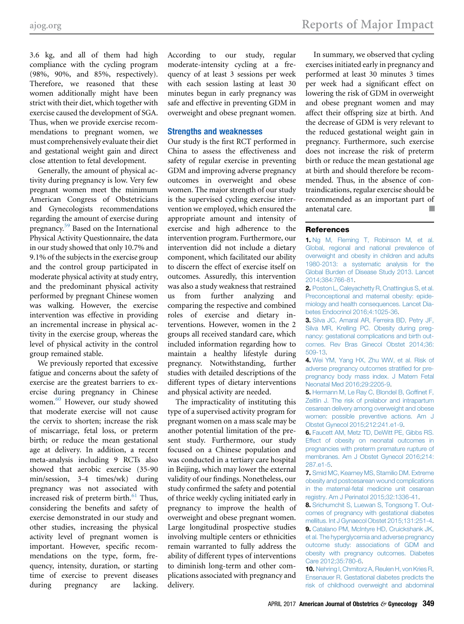<span id="page-9-0"></span>3.6 kg, and all of them had high compliance with the cycling program (98%, 90%, and 85%, respectively). Therefore, we reasoned that these women additionally might have been strict with their diet, which together with exercise caused the development of SGA. Thus, when we provide exercise recommendations to pregnant women, we must comprehensively evaluate their diet and gestational weight gain and direct close attention to fetal development.

Generally, the amount of physical activity during pregnancy is low. Very few pregnant women meet the minimum American Congress of Obstetricians and Gynecologists recommendations regarding the amount of exercise during pregnancy.[59](#page-11-0) Based on the International Physical Activity Questionnaire, the data in our study showed that only 10.7% and 9.1% of the subjects in the exercise group and the control group participated in moderate physical activity at study entry, and the predominant physical activity performed by pregnant Chinese women was walking. However, the exercise intervention was effective in providing an incremental increase in physical activity in the exercise group, whereas the level of physical activity in the control group remained stable.

We previously reported that excessive fatigue and concerns about the safety of exercise are the greatest barriers to exercise during pregnancy in Chinese women.<sup>[60](#page-11-0)</sup> However, our study showed that moderate exercise will not cause the cervix to shorten; increase the risk of miscarriage, fetal loss, or preterm birth; or reduce the mean gestational age at delivery. In addition, a recent meta-analysis including 9 RCTs also showed that aerobic exercise (35-90 min/session, 3-4 times/wk) during pregnancy was not associated with increased risk of preterm birth.<sup>[61](#page-11-0)</sup> Thus, considering the benefits and safety of exercise demonstrated in our study and other studies, increasing the physical activity level of pregnant women is important. However, specific recommendations on the type, form, frequency, intensity, duration, or starting time of exercise to prevent diseases during pregnancy are lacking.

According to our study, regular moderate-intensity cycling at a frequency of at least 3 sessions per week with each session lasting at least 30 minutes begun in early pregnancy was safe and effective in preventing GDM in overweight and obese pregnant women.

#### Strengths and weaknesses

Our study is the first RCT performed in China to assess the effectiveness and safety of regular exercise in preventing GDM and improving adverse pregnancy outcomes in overweight and obese women. The major strength of our study is the supervised cycling exercise intervention we employed, which ensured the appropriate amount and intensity of exercise and high adherence to the intervention program. Furthermore, our intervention did not include a dietary component, which facilitated our ability to discern the effect of exercise itself on outcomes. Assuredly, this intervention was also a study weakness that restrained us from further analyzing and comparing the respective and combined roles of exercise and dietary interventions. However, women in the 2 groups all received standard care, which included information regarding how to maintain a healthy lifestyle during pregnancy. Notwithstanding, further studies with detailed descriptions of the different types of dietary interventions and physical activity are needed.

The impracticality of instituting this type of a supervised activity program for pregnant women on a mass scale may be another potential limitation of the present study. Furthermore, our study focused on a Chinese population and was conducted in a tertiary care hospital in Beijing, which may lower the external validity of our findings. Nonetheless, our study confirmed the safety and potential of thrice weekly cycling initiated early in pregnancy to improve the health of overweight and obese pregnant women. Large longitudinal prospective studies involving multiple centers or ethnicities remain warranted to fully address the ability of different types of interventions to diminish long-term and other complications associated with pregnancy and delivery.

In summary, we observed that cycling exercises initiated early in pregnancy and performed at least 30 minutes 3 times per week had a significant effect on lowering the risk of GDM in overweight and obese pregnant women and may affect their offspring size at birth. And the decrease of GDM is very relevant to the reduced gestational weight gain in pregnancy. Furthermore, such exercise does not increase the risk of preterm birth or reduce the mean gestational age at birth and should therefore be recommended. Thus, in the absence of contraindications, regular exercise should be recommended as an important part of antenatal care.

#### **References**

1. [Ng M, Fleming T, Robinson M, et al.](http://refhub.elsevier.com/S0002-9378(17)30172-2/sref1) [Global, regional and national prevalence of](http://refhub.elsevier.com/S0002-9378(17)30172-2/sref1) [overweight and obesity in children and adults](http://refhub.elsevier.com/S0002-9378(17)30172-2/sref1) [1980-2013: a systematic analysis for the](http://refhub.elsevier.com/S0002-9378(17)30172-2/sref1) [Global Burden of Disease Study 2013. Lancet](http://refhub.elsevier.com/S0002-9378(17)30172-2/sref1) [2014;384:766-81](http://refhub.elsevier.com/S0002-9378(17)30172-2/sref1).

2. [Poston L, Caleyachetty R, Cnattingius S, et al.](http://refhub.elsevier.com/S0002-9378(17)30172-2/sref2) [Preconceptional and maternal obesity: epide](http://refhub.elsevier.com/S0002-9378(17)30172-2/sref2)[miology and health consequences. Lancet Dia](http://refhub.elsevier.com/S0002-9378(17)30172-2/sref2)[betes Endocrinol 2016;4:1025-36.](http://refhub.elsevier.com/S0002-9378(17)30172-2/sref2)

3. [Silva JC, Amaral AR, Ferreira BD, Petry JF,](http://refhub.elsevier.com/S0002-9378(17)30172-2/sref3) [Silva MR, Krelling PC. Obesity during preg](http://refhub.elsevier.com/S0002-9378(17)30172-2/sref3)[nancy: gestational complications and birth out](http://refhub.elsevier.com/S0002-9378(17)30172-2/sref3)[comes. Rev Bras Ginecol Obstet 2014;36:](http://refhub.elsevier.com/S0002-9378(17)30172-2/sref3) [509-13](http://refhub.elsevier.com/S0002-9378(17)30172-2/sref3).

4. [Wei YM, Yang HX, Zhu WW, et al. Risk of](http://refhub.elsevier.com/S0002-9378(17)30172-2/sref4) [adverse pregnancy outcomes strati](http://refhub.elsevier.com/S0002-9378(17)30172-2/sref4)fied for pre[pregnancy body mass index. J Matern Fetal](http://refhub.elsevier.com/S0002-9378(17)30172-2/sref4) [Neonatal Med 2016;29:2205-9.](http://refhub.elsevier.com/S0002-9378(17)30172-2/sref4)

5. [Hermann M, Le Ray C, Blondel B, Gof](http://refhub.elsevier.com/S0002-9378(17)30172-2/sref5)finet F, [Zeitlin J. The risk of prelabor and intrapartum](http://refhub.elsevier.com/S0002-9378(17)30172-2/sref5) [cesarean delivery among overweight and obese](http://refhub.elsevier.com/S0002-9378(17)30172-2/sref5) [women: possible preventive actions. Am J](http://refhub.elsevier.com/S0002-9378(17)30172-2/sref5) [Obstet Gynecol 2015;212:241.e1-9.](http://refhub.elsevier.com/S0002-9378(17)30172-2/sref5)

6. [Faucett AM, Metz TD, DeWitt PE, Gibbs RS.](http://refhub.elsevier.com/S0002-9378(17)30172-2/sref6) [Effect of obesity on neonatal outcomes in](http://refhub.elsevier.com/S0002-9378(17)30172-2/sref6) [pregnancies with preterm premature rupture of](http://refhub.elsevier.com/S0002-9378(17)30172-2/sref6) [membranes. Am J Obstet Gynecol 2016;214:](http://refhub.elsevier.com/S0002-9378(17)30172-2/sref6) [287.e1-5.](http://refhub.elsevier.com/S0002-9378(17)30172-2/sref6)

7. [Smid MC, Kearney MS, Stamilio DM. Extreme](http://refhub.elsevier.com/S0002-9378(17)30172-2/sref7) [obesity and postcesarean wound complications](http://refhub.elsevier.com/S0002-9378(17)30172-2/sref7) [in the maternal-fetal medicine unit cesarean](http://refhub.elsevier.com/S0002-9378(17)30172-2/sref7) [registry. Am J Perinatol 2015;32:1336-41.](http://refhub.elsevier.com/S0002-9378(17)30172-2/sref7)

8. [Srichumchit S, Luewan S, Tongsong T. Out](http://refhub.elsevier.com/S0002-9378(17)30172-2/sref8)[comes of pregnancy with gestational diabetes](http://refhub.elsevier.com/S0002-9378(17)30172-2/sref8) [mellitus. Int J Gynaecol Obstet 2015;131:251-4.](http://refhub.elsevier.com/S0002-9378(17)30172-2/sref8) 9. [Catalano PM, McIntyre HD, Cruickshank JK,](http://refhub.elsevier.com/S0002-9378(17)30172-2/sref9) [et al. The hyperglycemia and adverse pregnancy](http://refhub.elsevier.com/S0002-9378(17)30172-2/sref9) [outcome study: associations of GDM and](http://refhub.elsevier.com/S0002-9378(17)30172-2/sref9) [obesity with pregnancy outcomes. Diabetes](http://refhub.elsevier.com/S0002-9378(17)30172-2/sref9) [Care 2012;35:780-6.](http://refhub.elsevier.com/S0002-9378(17)30172-2/sref9)

10. [Nehring I, Chmitorz A, Reulen H, von Kries R,](http://refhub.elsevier.com/S0002-9378(17)30172-2/sref10) [Ensenauer R. Gestational diabetes predicts the](http://refhub.elsevier.com/S0002-9378(17)30172-2/sref10) [risk of childhood overweight and abdominal](http://refhub.elsevier.com/S0002-9378(17)30172-2/sref10)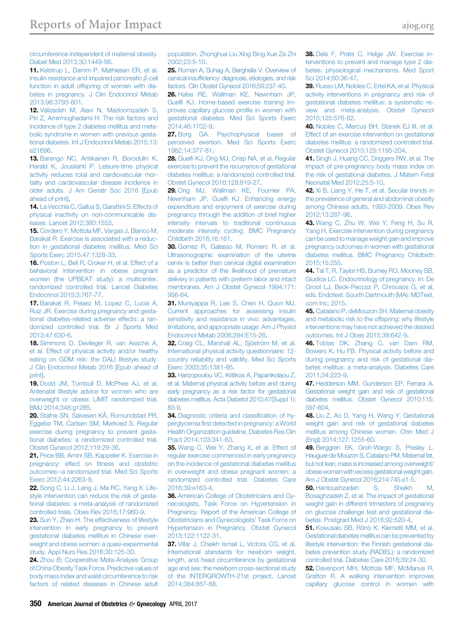<span id="page-10-0"></span>[circumference independent of maternal obesity.](http://refhub.elsevier.com/S0002-9378(17)30172-2/sref10) [Diabet Med 2013;30:1449-56.](http://refhub.elsevier.com/S0002-9378(17)30172-2/sref10)

11. [Kelstrup L, Damm P, Mathiesen ER, et al.](http://refhub.elsevier.com/S0002-9378(17)30172-2/sref11) [Insulin resistance and impaired pancreatic](http://refhub.elsevier.com/S0002-9378(17)30172-2/sref11)  $\beta$ -cell [function in adult offspring of women with dia](http://refhub.elsevier.com/S0002-9378(17)30172-2/sref11)[betes in pregnancy. J Clin Endocrinol Metab](http://refhub.elsevier.com/S0002-9378(17)30172-2/sref11) [2013;98:3793-801](http://refhub.elsevier.com/S0002-9378(17)30172-2/sref11).

12. [Valizadeh M, Alavi N, Mazloomzadeh S,](http://refhub.elsevier.com/S0002-9378(17)30172-2/sref12) [Piri Z, Amirmoghadami H. The risk factors and](http://refhub.elsevier.com/S0002-9378(17)30172-2/sref12) [incidence of type 2 diabetes mellitus and meta](http://refhub.elsevier.com/S0002-9378(17)30172-2/sref12)[bolic syndrome in women with previous gesta](http://refhub.elsevier.com/S0002-9378(17)30172-2/sref12)[tional diabetes. Int J Endocrinol Metab 2015;13:](http://refhub.elsevier.com/S0002-9378(17)30172-2/sref12) [e21696.](http://refhub.elsevier.com/S0002-9378(17)30172-2/sref12)

13. [Barengo NC, Antikainen R, Borodulin K,](http://refhub.elsevier.com/S0002-9378(17)30172-2/sref13) [Harald K, Jousilahti P. Leisure-time physical](http://refhub.elsevier.com/S0002-9378(17)30172-2/sref13) [activity reduces total and cardiovascular mor](http://refhub.elsevier.com/S0002-9378(17)30172-2/sref13)[tality and cardiovascular disease incidence in](http://refhub.elsevier.com/S0002-9378(17)30172-2/sref13) [older adults. J Am Geriatr Soc 2016 \[Epub](http://refhub.elsevier.com/S0002-9378(17)30172-2/sref13) [ahead of print\]](http://refhub.elsevier.com/S0002-9378(17)30172-2/sref13).

14. [La Vecchia C, Gallus S, Garattini S. Effects of](http://refhub.elsevier.com/S0002-9378(17)30172-2/sref14) [physical inactivity on non-communicable dis](http://refhub.elsevier.com/S0002-9378(17)30172-2/sref14)[eases. Lancet 2012;380:1553.](http://refhub.elsevier.com/S0002-9378(17)30172-2/sref14)

15. [Cordero Y, Mottola MF, Vargas J, Blanco M,](http://refhub.elsevier.com/S0002-9378(17)30172-2/sref15) [Barakat R. Exercise is associated with a reduc](http://refhub.elsevier.com/S0002-9378(17)30172-2/sref15)[tion in gestational diabetes mellitus. Med Sci](http://refhub.elsevier.com/S0002-9378(17)30172-2/sref15) [Sports Exerc 2015;47:1328-33.](http://refhub.elsevier.com/S0002-9378(17)30172-2/sref15)

16. [Poston L, Bell R, Croker H, et al. Effect of a](http://refhub.elsevier.com/S0002-9378(17)30172-2/sref16) [behavioral intervention in obese pregnant](http://refhub.elsevier.com/S0002-9378(17)30172-2/sref16) [women \(the UPBEAT study\): a multicenter,](http://refhub.elsevier.com/S0002-9378(17)30172-2/sref16) [randomized controlled trial. Lancet Diabetes](http://refhub.elsevier.com/S0002-9378(17)30172-2/sref16) [Endocrinol 2015;3:767-77.](http://refhub.elsevier.com/S0002-9378(17)30172-2/sref16)

17. [Barakat R, Pelaez M, Lopez C, Lucia A,](http://refhub.elsevier.com/S0002-9378(17)30172-2/sref17) [Ruiz JR. Exercise during pregnancy and gesta](http://refhub.elsevier.com/S0002-9378(17)30172-2/sref17)[tional diabetes-related adverse effects: a ran](http://refhub.elsevier.com/S0002-9378(17)30172-2/sref17)[domized controlled trial. Br J Sports Med](http://refhub.elsevier.com/S0002-9378(17)30172-2/sref17) [2013;47:630-6.](http://refhub.elsevier.com/S0002-9378(17)30172-2/sref17)

18. [Simmons D, Devlieger R, van Assche A,](http://refhub.elsevier.com/S0002-9378(17)30172-2/sref18) [et al. Effect of physical activity and/or healthy](http://refhub.elsevier.com/S0002-9378(17)30172-2/sref18) [eating on GDM risk: the DALI lifestyle study.](http://refhub.elsevier.com/S0002-9378(17)30172-2/sref18) [J Clin Endocrinol Metab 2016 \[Epub ahead of](http://refhub.elsevier.com/S0002-9378(17)30172-2/sref18) [print\].](http://refhub.elsevier.com/S0002-9378(17)30172-2/sref18)

19. [Dodd JM, Turnbull D, McPhee AJ, et al.](http://refhub.elsevier.com/S0002-9378(17)30172-2/sref19) [Antenatal lifestyle advice for women who are](http://refhub.elsevier.com/S0002-9378(17)30172-2/sref19) [overweight or obese: LIMIT randomized trial.](http://refhub.elsevier.com/S0002-9378(17)30172-2/sref19) [BMJ 2014;348:g1285.](http://refhub.elsevier.com/S0002-9378(17)30172-2/sref19)

20. [Stafne SN, Salvesen KÅ, Romundstad PR,](http://refhub.elsevier.com/S0002-9378(17)30172-2/sref20) [Eggebø TM, Carlsen SM, Mørkved S. Regular](http://refhub.elsevier.com/S0002-9378(17)30172-2/sref20) [exercise during pregnancy to prevent gesta](http://refhub.elsevier.com/S0002-9378(17)30172-2/sref20)[tional diabetes: a randomized controlled trial.](http://refhub.elsevier.com/S0002-9378(17)30172-2/sref20) [Obstet Gynecol 2012;119:29-36](http://refhub.elsevier.com/S0002-9378(17)30172-2/sref20).

21. [Price BB, Amini SB, Kappeler K. Exercise in](http://refhub.elsevier.com/S0002-9378(17)30172-2/sref21) [pregnancy: effect on](http://refhub.elsevier.com/S0002-9378(17)30172-2/sref21) fitness and obstetric outcomes-[a randomized trial. Med Sci Sports](http://refhub.elsevier.com/S0002-9378(17)30172-2/sref21) [Exerc 2012;44:2263-9](http://refhub.elsevier.com/S0002-9378(17)30172-2/sref21).

22. [Song C, Li J, Leng J, Ma RC, Yang X. Life](http://refhub.elsevier.com/S0002-9378(17)30172-2/sref22)[style intervention can reduce the risk of gesta](http://refhub.elsevier.com/S0002-9378(17)30172-2/sref22)[tional diabetes: a meta-analysis of randomized](http://refhub.elsevier.com/S0002-9378(17)30172-2/sref22) [controlled trials. Obes Rev 2016;17:960-9.](http://refhub.elsevier.com/S0002-9378(17)30172-2/sref22)

23. [Sun Y, Zhao H. The effectiveness of lifestyle](http://refhub.elsevier.com/S0002-9378(17)30172-2/sref23) [intervention in early pregnancy to prevent](http://refhub.elsevier.com/S0002-9378(17)30172-2/sref23) [gestational diabetes mellitus in Chinese over](http://refhub.elsevier.com/S0002-9378(17)30172-2/sref23)[weight and obese women: a quasi-experimental](http://refhub.elsevier.com/S0002-9378(17)30172-2/sref23) [study. Appl Nurs Res 2016;30:125-30](http://refhub.elsevier.com/S0002-9378(17)30172-2/sref23).

24. [Zhou B; Cooperative Meta-Analysis Group](http://refhub.elsevier.com/S0002-9378(17)30172-2/sref24) [of China Obesity Task Force. Predictive values of](http://refhub.elsevier.com/S0002-9378(17)30172-2/sref24) [body mass index and waist circumference to risk](http://refhub.elsevier.com/S0002-9378(17)30172-2/sref24) [factors of related diseases in Chinese adult](http://refhub.elsevier.com/S0002-9378(17)30172-2/sref24)

[population. Zhonghua Liu Xing Bing Xue Za Zhi](http://refhub.elsevier.com/S0002-9378(17)30172-2/sref24) [2002;23:5-10.](http://refhub.elsevier.com/S0002-9378(17)30172-2/sref24)

25. [Roman A, Suhag A, Berghella V. Overview of](http://refhub.elsevier.com/S0002-9378(17)30172-2/sref25) cervical insuffi[ciency: diagnosis, etiologies, and risk](http://refhub.elsevier.com/S0002-9378(17)30172-2/sref25) [factors. Clin Obstet Gynecol 2016;59:237-40.](http://refhub.elsevier.com/S0002-9378(17)30172-2/sref25)

26. [Halse RE, Wallman KE, Newnham JP,](http://refhub.elsevier.com/S0002-9378(17)30172-2/sref26) Guelfi [KJ. Home-based exercise training im](http://refhub.elsevier.com/S0002-9378(17)30172-2/sref26)[proves capillary glucose pro](http://refhub.elsevier.com/S0002-9378(17)30172-2/sref26)file in women with [gestational diabetes. Med Sci Sports Exerc](http://refhub.elsevier.com/S0002-9378(17)30172-2/sref26) [2014;46:1702-9.](http://refhub.elsevier.com/S0002-9378(17)30172-2/sref26)

27. [Borg GA. Psychophysical bases of](http://refhub.elsevier.com/S0002-9378(17)30172-2/sref27) [perceived exertion. Med Sci Sports Exerc](http://refhub.elsevier.com/S0002-9378(17)30172-2/sref27) [1982;14:377-81.](http://refhub.elsevier.com/S0002-9378(17)30172-2/sref27)

28. Guelfi [KJ, Ong MJ, Crisp NA, et al. Regular](http://refhub.elsevier.com/S0002-9378(17)30172-2/sref28) [exercise to prevent the recurrence of gestational](http://refhub.elsevier.com/S0002-9378(17)30172-2/sref28) [diabetes mellitus: a randomized controlled trial.](http://refhub.elsevier.com/S0002-9378(17)30172-2/sref28) [Obstet Gynecol 2016;128:819-27.](http://refhub.elsevier.com/S0002-9378(17)30172-2/sref28)

29. [Ong MJ, Wallman KE, Fournier PA,](http://refhub.elsevier.com/S0002-9378(17)30172-2/sref29) Newnham JP, Guelfi [KJ. Enhancing energy](http://refhub.elsevier.com/S0002-9378(17)30172-2/sref29) [expenditure and enjoyment of exercise during](http://refhub.elsevier.com/S0002-9378(17)30172-2/sref29) [pregnancy through the addition of brief higher](http://refhub.elsevier.com/S0002-9378(17)30172-2/sref29) [intensity intervals to traditional continuous](http://refhub.elsevier.com/S0002-9378(17)30172-2/sref29) [moderate intensity cycling. BMC Pregnancy](http://refhub.elsevier.com/S0002-9378(17)30172-2/sref29) [Childbirth 2016;16:161](http://refhub.elsevier.com/S0002-9378(17)30172-2/sref29).

30. [Gomez R, Galasso M, Romero R, et al.](http://refhub.elsevier.com/S0002-9378(17)30172-2/sref30) [Ultrasonographic examination of the uterine](http://refhub.elsevier.com/S0002-9378(17)30172-2/sref30) [cervix is better than cervical digital examination](http://refhub.elsevier.com/S0002-9378(17)30172-2/sref30) [as a predictor of the likelihood of premature](http://refhub.elsevier.com/S0002-9378(17)30172-2/sref30) [delivery in patients with preterm labor and intact](http://refhub.elsevier.com/S0002-9378(17)30172-2/sref30) [membranes. Am J Obstet Gynecol 1994;171:](http://refhub.elsevier.com/S0002-9378(17)30172-2/sref30) [956-64.](http://refhub.elsevier.com/S0002-9378(17)30172-2/sref30)

31. [Muniyappa R, Lee S, Chen H, Quon MJ.](http://refhub.elsevier.com/S0002-9378(17)30172-2/sref31) [Current approaches for assessing insulin](http://refhub.elsevier.com/S0002-9378(17)30172-2/sref31) [sensitivity and resistance in vivo: advantages,](http://refhub.elsevier.com/S0002-9378(17)30172-2/sref31) [limitations, and appropriate usage. Am J Physiol](http://refhub.elsevier.com/S0002-9378(17)30172-2/sref31) [Endocrinol Metab 2008;294:E15-26.](http://refhub.elsevier.com/S0002-9378(17)30172-2/sref31)

32. [Craig CL, Marshall AL, Sjöström M, et al.](http://refhub.elsevier.com/S0002-9378(17)30172-2/sref32) [International physical activity questionnaire: 12](http://refhub.elsevier.com/S0002-9378(17)30172-2/sref32) [country reliability and validity. Med Sci Sports](http://refhub.elsevier.com/S0002-9378(17)30172-2/sref32) [Exerc 2003;35:1381-95](http://refhub.elsevier.com/S0002-9378(17)30172-2/sref32).

33. [Harizopoulou VC, Kritikos A, Papanikolaou Z,](http://refhub.elsevier.com/S0002-9378(17)30172-2/sref33) [et al. Maternal physical activity before and during](http://refhub.elsevier.com/S0002-9378(17)30172-2/sref33) [early pregnancy as a risk factor for gestational](http://refhub.elsevier.com/S0002-9378(17)30172-2/sref33) [diabetes mellitus. Acta Diabetol 2010;47\(Suppl 1\):](http://refhub.elsevier.com/S0002-9378(17)30172-2/sref33) [83-9.](http://refhub.elsevier.com/S0002-9378(17)30172-2/sref33)

34. [Diagnostic criteria and classi](http://refhub.elsevier.com/S0002-9378(17)30172-2/sref34)fication of hyperglycemia fi[rst detected in pregnancy: a World](http://refhub.elsevier.com/S0002-9378(17)30172-2/sref34) [Health Organization guideline. Diabetes Res Clin](http://refhub.elsevier.com/S0002-9378(17)30172-2/sref34) [Pract 2014;103:341-63](http://refhub.elsevier.com/S0002-9378(17)30172-2/sref34).

35. [Wang C, Wei Y, Zhang X, et al. Effect of](http://refhub.elsevier.com/S0002-9378(17)30172-2/sref35) [regular exercise commenced in early pregnancy](http://refhub.elsevier.com/S0002-9378(17)30172-2/sref35) [on the incidence of gestational diabetes mellitus](http://refhub.elsevier.com/S0002-9378(17)30172-2/sref35) [in overweight and obese pregnant women: a](http://refhub.elsevier.com/S0002-9378(17)30172-2/sref35) [randomized controlled trial. Diabetes Care](http://refhub.elsevier.com/S0002-9378(17)30172-2/sref35) [2016;39:e163-4](http://refhub.elsevier.com/S0002-9378(17)30172-2/sref35).

36. [American College of Obstetricians and Gy](http://refhub.elsevier.com/S0002-9378(17)30172-2/sref36)[necologists, Task Force on Hypertension in](http://refhub.elsevier.com/S0002-9378(17)30172-2/sref36) [Pregnancy. Report of the American College of](http://refhub.elsevier.com/S0002-9378(17)30172-2/sref36) [Obstetricians and Gynecologists](http://refhub.elsevier.com/S0002-9378(17)30172-2/sref36)' Task Force on [Hypertension in Pregnancy. Obstet Gynecol](http://refhub.elsevier.com/S0002-9378(17)30172-2/sref36) [2013;122:1122-31](http://refhub.elsevier.com/S0002-9378(17)30172-2/sref36).

37. [Villar J, Cheikh Ismail L, Victora CG, et al.](http://refhub.elsevier.com/S0002-9378(17)30172-2/sref37) [International standards for newborn weight,](http://refhub.elsevier.com/S0002-9378(17)30172-2/sref37) [length, and head circumference by gestational](http://refhub.elsevier.com/S0002-9378(17)30172-2/sref37) [age and sex: the newborn cross-sectional study](http://refhub.elsevier.com/S0002-9378(17)30172-2/sref37) [of the INTERGROWTH-21st project. Lancet](http://refhub.elsevier.com/S0002-9378(17)30172-2/sref37) [2014;384:857-68](http://refhub.elsevier.com/S0002-9378(17)30172-2/sref37).

38. [Dela F, Prats C, Helge JW. Exercise in](http://refhub.elsevier.com/S0002-9378(17)30172-2/sref38)[terventions to prevent and manage type 2 dia](http://refhub.elsevier.com/S0002-9378(17)30172-2/sref38)[betes: physiological mechanisms. Med Sport](http://refhub.elsevier.com/S0002-9378(17)30172-2/sref38) [Sci 2014;60:36-47](http://refhub.elsevier.com/S0002-9378(17)30172-2/sref38).

39. [Russo LM, Nobles C, Ertel KA, et al. Physical](http://refhub.elsevier.com/S0002-9378(17)30172-2/sref39) [activity interventions in pregnancy and risk of](http://refhub.elsevier.com/S0002-9378(17)30172-2/sref39) [gestational diabetes mellitus: a systematic re](http://refhub.elsevier.com/S0002-9378(17)30172-2/sref39)[view and meta-analysis. Obstet Gynecol](http://refhub.elsevier.com/S0002-9378(17)30172-2/sref39) [2015;125:576-82](http://refhub.elsevier.com/S0002-9378(17)30172-2/sref39).

40. [Nobles C, Marcus BH, Stanek EJ III, et al.](http://refhub.elsevier.com/S0002-9378(17)30172-2/sref40) [Effect of an exercise intervention on gestational](http://refhub.elsevier.com/S0002-9378(17)30172-2/sref40) [diabetes mellitus: a randomized controlled trial.](http://refhub.elsevier.com/S0002-9378(17)30172-2/sref40) [Obstet Gynecol 2015;125:1195-204](http://refhub.elsevier.com/S0002-9378(17)30172-2/sref40).

41. [Singh J, Huang CC, Driggers RW, et al. The](http://refhub.elsevier.com/S0002-9378(17)30172-2/sref41) [impact of pre-pregnancy body mass index on](http://refhub.elsevier.com/S0002-9378(17)30172-2/sref41) [the risk of gestational diabetes. J Matern Fetal](http://refhub.elsevier.com/S0002-9378(17)30172-2/sref41) [Neonatal Med 2012;25:5-10.](http://refhub.elsevier.com/S0002-9378(17)30172-2/sref41)

42. [Xi B, Liang Y, He T, et al. Secular trends in](http://refhub.elsevier.com/S0002-9378(17)30172-2/sref43) [the prevalence of general and abdominal obesity](http://refhub.elsevier.com/S0002-9378(17)30172-2/sref43) [among Chinese adults, 1993-2009. Obes Rev](http://refhub.elsevier.com/S0002-9378(17)30172-2/sref43) [2012;13:287-96](http://refhub.elsevier.com/S0002-9378(17)30172-2/sref43).

43. [Wang C, Zhu W, Wei Y, Feng H, Su R,](http://refhub.elsevier.com/S0002-9378(17)30172-2/sref44) [Yang H. Exercise intervention during pregnancy](http://refhub.elsevier.com/S0002-9378(17)30172-2/sref44) [can be used to manage weight gain and improve](http://refhub.elsevier.com/S0002-9378(17)30172-2/sref44) [pregnancy outcomes in women with gestational](http://refhub.elsevier.com/S0002-9378(17)30172-2/sref44) [diabetes mellitus. BMC Pregnancy Childbirth](http://refhub.elsevier.com/S0002-9378(17)30172-2/sref44) [2015;15:255](http://refhub.elsevier.com/S0002-9378(17)30172-2/sref44).

44. [Tal T, R, Taylor HS, Burney RO, Mooney SB,](http://refhub.elsevier.com/S0002-9378(17)30172-2/sref45) [Giudice LC. Endocrinology of pregnancy. In: De](http://refhub.elsevier.com/S0002-9378(17)30172-2/sref45) [Groot LJ, Beck-Peccoz P, Chrousos G, et al,](http://refhub.elsevier.com/S0002-9378(17)30172-2/sref45) [eds. Endotext. Sourth Dartmouth \(MA\): MDText.](http://refhub.elsevier.com/S0002-9378(17)30172-2/sref45) [com Inc; 2015.](http://refhub.elsevier.com/S0002-9378(17)30172-2/sref45)

45. [Catalano P, deMouzon SH. Maternal obesity](http://refhub.elsevier.com/S0002-9378(17)30172-2/sref46) [and metabolic risk to the offspring: why lifestyle](http://refhub.elsevier.com/S0002-9378(17)30172-2/sref46) [interventions may have not achieved the desired](http://refhub.elsevier.com/S0002-9378(17)30172-2/sref46) [outcomes. Int J Obes 2015;39:642-9.](http://refhub.elsevier.com/S0002-9378(17)30172-2/sref46)

46. [Tobias DK, Zhang C, van Dam RM,](http://refhub.elsevier.com/S0002-9378(17)30172-2/sref47) [Bowers K, Hu FB. Physical activity before and](http://refhub.elsevier.com/S0002-9378(17)30172-2/sref47) [during pregnancy and risk of gestational dia](http://refhub.elsevier.com/S0002-9378(17)30172-2/sref47)[betes mellitus: a meta-analysis. Diabetes Care](http://refhub.elsevier.com/S0002-9378(17)30172-2/sref47) [2011;34:223-9.](http://refhub.elsevier.com/S0002-9378(17)30172-2/sref47)

47. [Hedderson MM, Gunderson EP, Ferrara A.](http://refhub.elsevier.com/S0002-9378(17)30172-2/sref48) [Gestational weight gain and risk of gestational](http://refhub.elsevier.com/S0002-9378(17)30172-2/sref48) [diabetes mellitus. Obstet Gynecol 2010;115:](http://refhub.elsevier.com/S0002-9378(17)30172-2/sref48) [597-604.](http://refhub.elsevier.com/S0002-9378(17)30172-2/sref48)

48. [Liu Z, Ao D, Yang H, Wang Y. Gestational](http://refhub.elsevier.com/S0002-9378(17)30172-2/sref49) [weight gain and risk of gestational diabetes](http://refhub.elsevier.com/S0002-9378(17)30172-2/sref49) [mellitus among Chinese women. Chin Med J](http://refhub.elsevier.com/S0002-9378(17)30172-2/sref49) [\(Engl\) 2014;127:1255-60](http://refhub.elsevier.com/S0002-9378(17)30172-2/sref49).

49. [Berggren EK, Groh-Wargo S, Presley L.](http://refhub.elsevier.com/S0002-9378(17)30172-2/sref50) [Hauguel-de Mouzon S, Catalano PM. Maternal fat,](http://refhub.elsevier.com/S0002-9378(17)30172-2/sref50) [but not lean, mass is increased among overweight/](http://refhub.elsevier.com/S0002-9378(17)30172-2/sref50) [obese women with excess gestational weight gain.](http://refhub.elsevier.com/S0002-9378(17)30172-2/sref50) [Am J Obstet Gynecol 2016;214:745.e1-5](http://refhub.elsevier.com/S0002-9378(17)30172-2/sref50).

50. [Hantoushzadeh S, Sheikh M,](http://refhub.elsevier.com/S0002-9378(17)30172-2/sref51) [Bosaghzadeh Z, et al. The impact of gestational](http://refhub.elsevier.com/S0002-9378(17)30172-2/sref51) [weight gain in different trimesters of pregnancy](http://refhub.elsevier.com/S0002-9378(17)30172-2/sref51) [on glucose challenge test and gestational dia](http://refhub.elsevier.com/S0002-9378(17)30172-2/sref51)[betes. Postgrad Med J 2016;92:520-4](http://refhub.elsevier.com/S0002-9378(17)30172-2/sref51).

51. [Koivusalo SB, Rönö K, Klemetti MM, et al.](http://refhub.elsevier.com/S0002-9378(17)30172-2/sref52) [Gestational diabetes mellitus can be prevented by](http://refhub.elsevier.com/S0002-9378(17)30172-2/sref52) [lifestyle intervention: the Finnish gestational dia](http://refhub.elsevier.com/S0002-9378(17)30172-2/sref52)[betes prevention study \(RADIEL\): a randomized](http://refhub.elsevier.com/S0002-9378(17)30172-2/sref52) [controlled trial. Diabetes Care 2016;39:24-30](http://refhub.elsevier.com/S0002-9378(17)30172-2/sref52).

52. [Davenport MH, Mottola MF, McManus R,](http://refhub.elsevier.com/S0002-9378(17)30172-2/sref53) [Gratton R. A walking intervention improves](http://refhub.elsevier.com/S0002-9378(17)30172-2/sref53) [capillary glucose control in women with](http://refhub.elsevier.com/S0002-9378(17)30172-2/sref53)